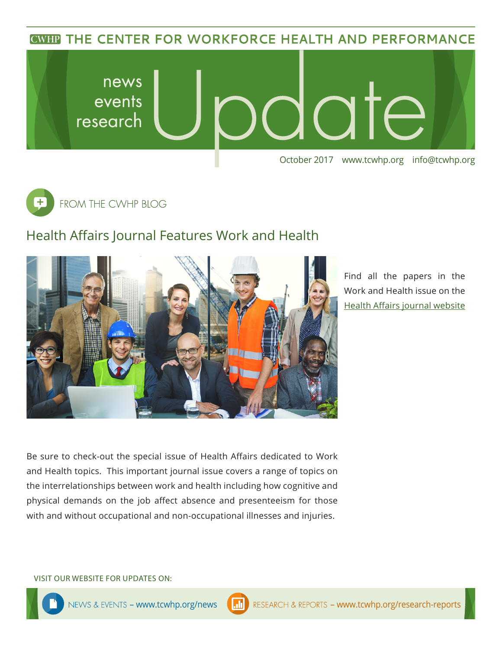**CWHP THE CENTER FOR WORKFORCE HEALTH AND PERFORMANCE** 





## Health Affairs Journal Features Work and Health



Find all the papers in the Work and Health issue on the [Health Affairs journal website](https://www.healthaffairs.org/toc/hlthaff/36/2)

Be sure to check-out the special issue of Health Affairs dedicated to Work and Health topics. This important journal issue covers a range of topics on the interrelationships between work and health including how cognitive and physical demands on the job affect absence and presenteeism for those with and without occupational and non-occupational illnesses and injuries.

VISIT OUR WEBSITE FOR UPDATES ON: